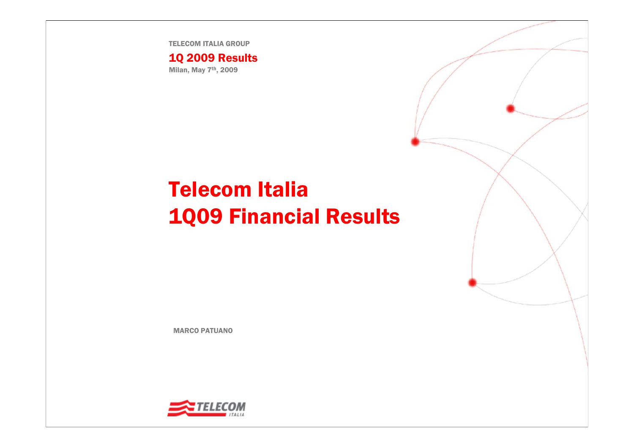TELECOM ITALIA GROUP

1Q 2009 Results Milan, May 7th, 2009

# Telecom Italia 1Q09 Financial Results

MARCO PATUANO

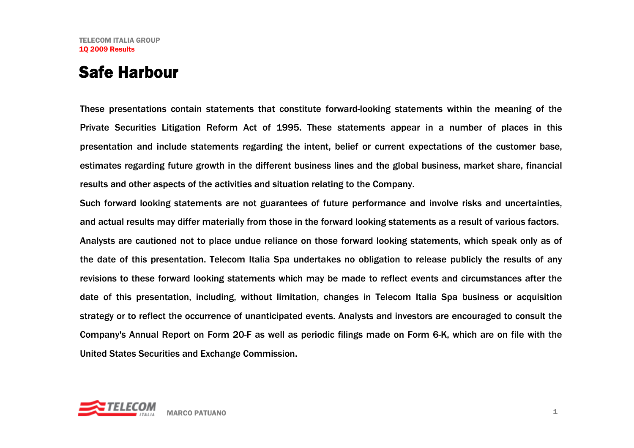### Safe Harbour

These presentations contain statements that constitute forward-looking statements within the meaning of the Private Securities Litigation Reform Act of 1995. These statements appear in a number of places in this presentation and include statements regarding the intent, belief or current expectations of the customer base, estimates regarding future growth in the different business lines and the global business, market share, financial results and other aspects of the activities and situation relating to the Company.

Such forward looking statements are not guarantees of future performance and involve risks and uncertainties, and actual results may differ materially from those in the forward looking statements as a result of various factors. Analysts are cautioned not to place undue reliance on those forward looking statements, which speak only as of the date of this presentation. Telecom Italia Spa undertakes no obligation to release publicly the results of any revisions to these forward looking statements which may be made to reflect events and circumstances after the date of this presentation, including, without limitation, changes in Telecom Italia Spa business or acquisition strategy or to reflect the occurrence of unanticipated events. Analysts and investors are encouraged to consult the Company's Annual Report on Form 20-F as well as periodic filings made on Form 6-K, which are on file with the United States Securities and Exchange Commission.

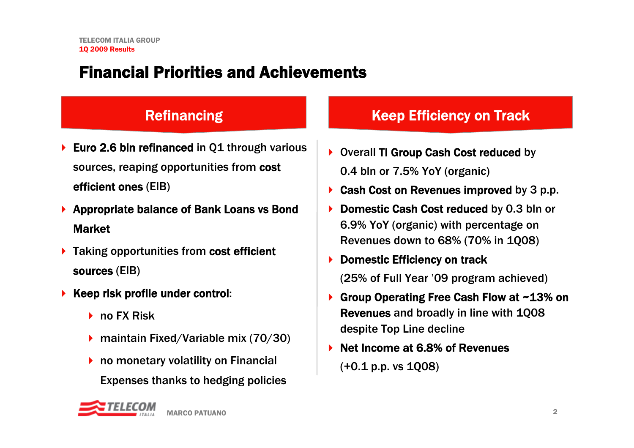# Financial Priorities and Achievements

#### **Refinancing**

- ▶ Euro 2.6 bln refinanced in Q1 through various sources, reaping opportunities from cost efficient ones (EIB)
- ▶ Appropriate balance of Bank Loans vs Bond **Market**
- ▶ Taking opportunities from cost efficient sources (EIB)
- ▶ Keep risk profile under control:
	- **▶ no FX Risk**
	- ▶ maintain Fixed/Variable mix (70/30)
	- ▶ no monetary volatility on Financial Expenses thanks to hedging policies

#### Efficiency on Track

- ▶ Overall TI Group Cash Cost reduced by 0.4 bln or 7.5% YoY (organic)
- $\blacktriangleright$ Cash Cost on Revenues improved by 3 p.p.
- ▶ Domestic Cash Cost reduced by 0.3 bln or 6.9% YoY (organic) with percentage on Revenues down to 68% (70% in 1Q08)
- $\blacktriangleright$  Domestic Efficiency on track (25% of Full Year '09 program achieved)
- $\blacktriangleright$  Group Operating Free Cash Flow at ~13% on Revenues and broadly in line with 1Q08 despite Top Line decline
- ▶ Net Income at 6.8% of Revenues (+0.1 p.p. vs 1Q08)

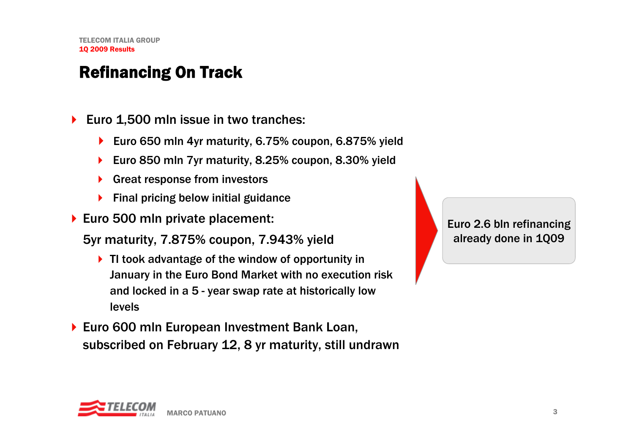# Refinancing On Track

- $\blacktriangleright$  Euro 1,500 mln issue in two tranches:
	- ▶ Euro 650 mln 4yr maturity, 6.75% coupon, 6.875% yield
	- $\blacktriangleright$ Euro 850 mln 7yr maturity, 8.25% coupon, 8.30% yield
	- ▶ Great response from investors
	- $\blacktriangleright$  Final pricing below initial guidance
- ▶ Euro 500 mln private placement:
	- 5yr maturity, 7.875% coupon, 7.943% yield
		- ▶ TI took advantage of the window of opportunity in January in the Euro Bond Market with no execution risk and locked in a 5 - year swap rate at historically low levels
- ▶ Euro 600 mln European Investment Bank Loan, subscribed on February 12, 8 yr maturity, still undrawn

Euro 2.6 bln refinancing already done in 1Q09

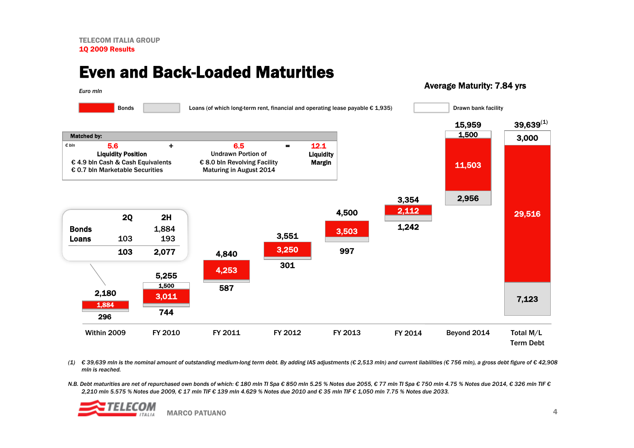#### Even and Back-Loaded Maturities

#### Average Maturity: 7.84 yrs



(1)  $\epsilon$  39,639 mln is the nominal amount of outstanding medium-long term debt. By adding IAS adjustments ( $\epsilon$  2,513 mln) and current liabilities ( $\epsilon$  756 mln), a gross debt figure of  $\epsilon$  42,908 *mln is reached.*

N.B. Debt maturities are net of repurchased own bonds of which: € 180 mln Tl Spa € 850 mln 5.25 % Notes due 2055, € 77 mln Tl Spa € 750 mln 4.75 % Notes due 2014, € 326 mln Tl € € *2,210 mln 5.575 % Notes due 2009, € 17 mln TIF € 139 mln 4.629 % Notes due 2010 and € 35 mln TIF € 1,050 mln 7.75 % Notes due 2033.*

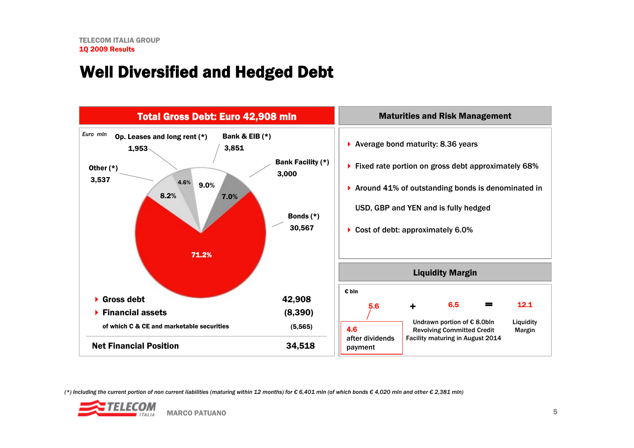## Well Diversified and Hedged Debt



(\*) Including the current portion of non current liabilities (maturing within 12 months) for  $\epsilon$  6,401 mln (of which bonds  $\epsilon$  4,020 mln and other  $\epsilon$  2,381 mln)

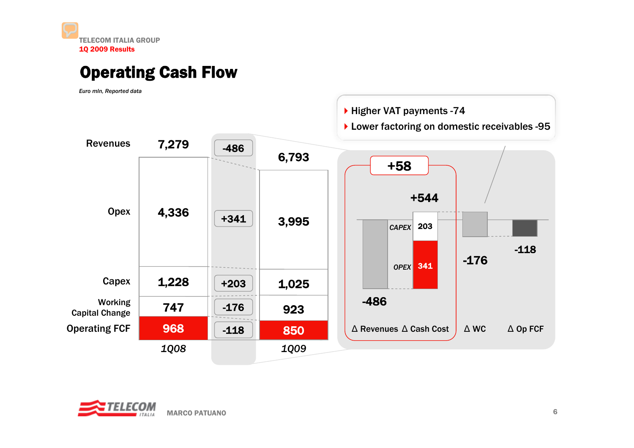## Operating Cash Flow

*Euro mln, Reported data*



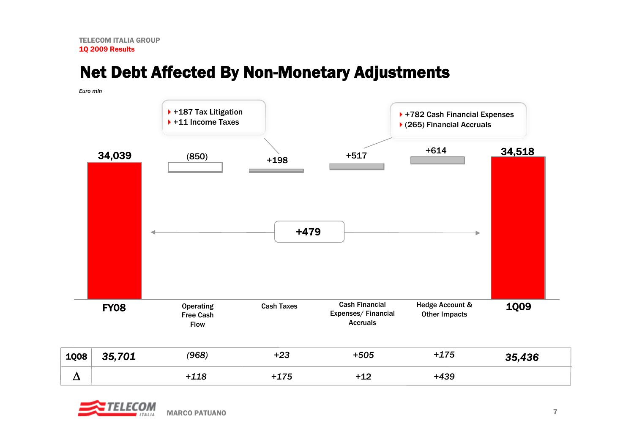# Net Debt Affected By Non-Monetary Adjustments

| Euro min |             |                                                     |                   |                                                                |                                                              |             |
|----------|-------------|-----------------------------------------------------|-------------------|----------------------------------------------------------------|--------------------------------------------------------------|-------------|
|          |             | ▶ +187 Tax Litigation<br>▶ +11 Income Taxes         |                   |                                                                | ▶ +782 Cash Financial Expenses<br>▶ (265) Financial Accruals |             |
|          | 34,039      | (850)                                               | $+198$<br>$+479$  | $+517$                                                         | $+614$                                                       | 34,518      |
|          | <b>FY08</b> | <b>Operating</b><br><b>Free Cash</b><br><b>Flow</b> | <b>Cash Taxes</b> | <b>Cash Financial</b><br>Expenses/Financial<br><b>Accruals</b> | Hedge Account &<br><b>Other Impacts</b>                      | <b>1009</b> |
| 1Q08     | 35,701      | (968)                                               | $+23$             | $+505$                                                         | $+175$                                                       | 35,436      |
| $\Delta$ |             | $+118$                                              | $+175$            | $+12$                                                          | $+439$                                                       |             |

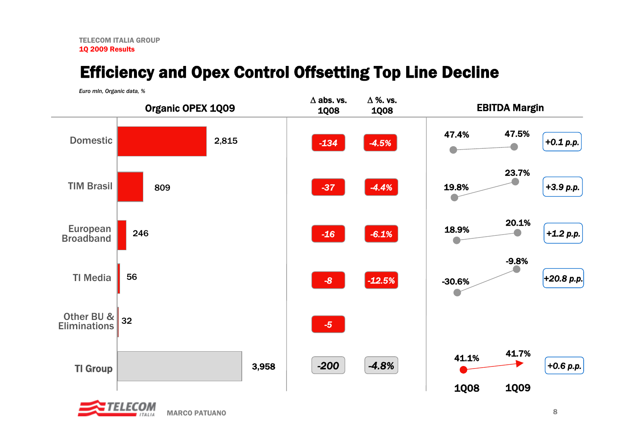# Efficiency and Opex Control Offsetting Top Line Decline

*Euro mln, Organic data, %*



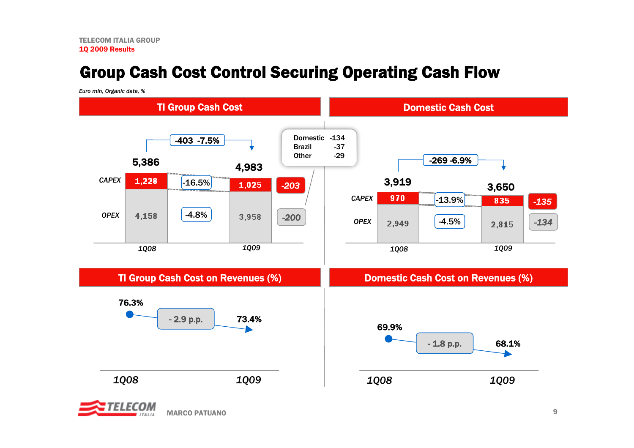# Group Cash Cost Control Securing Operating Cash Flow

*Euro mln, Organic data, %*



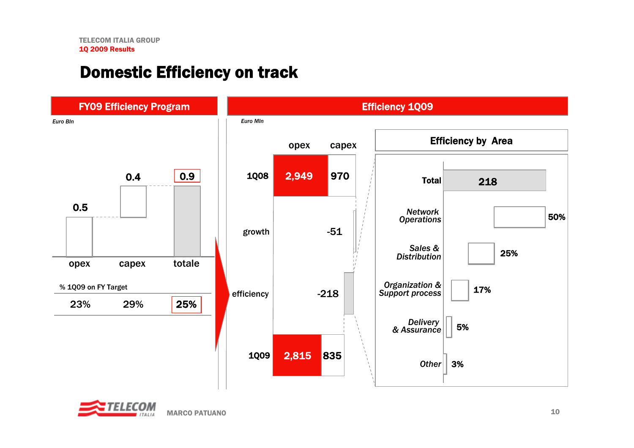## Domestic Efficiency on track



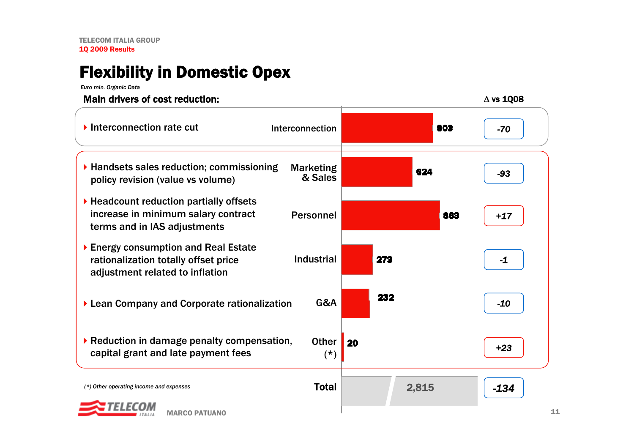# Flexibility in Domestic Opex

*Euro mln. Organic Data*

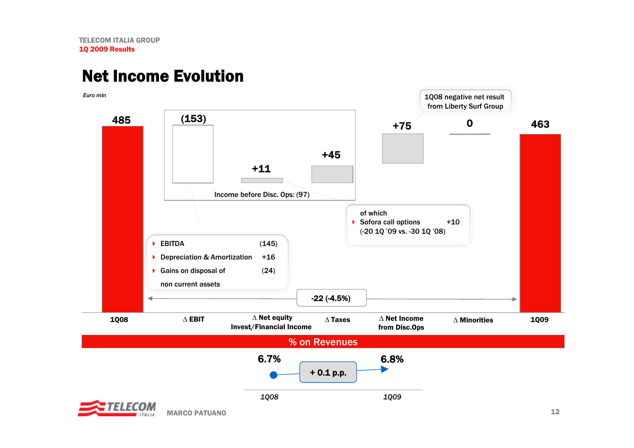## Net Income Evolution



MARCO PATUANO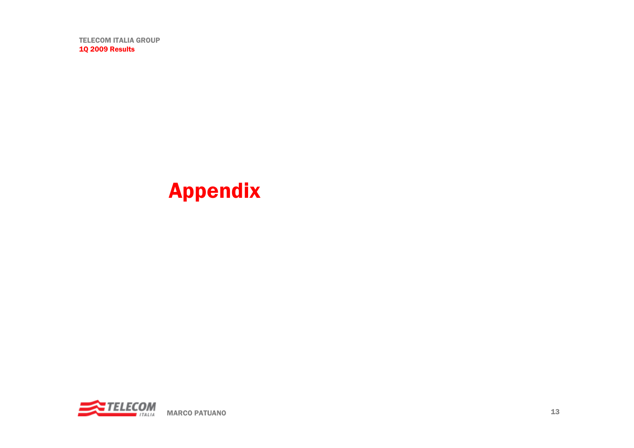# Appendix

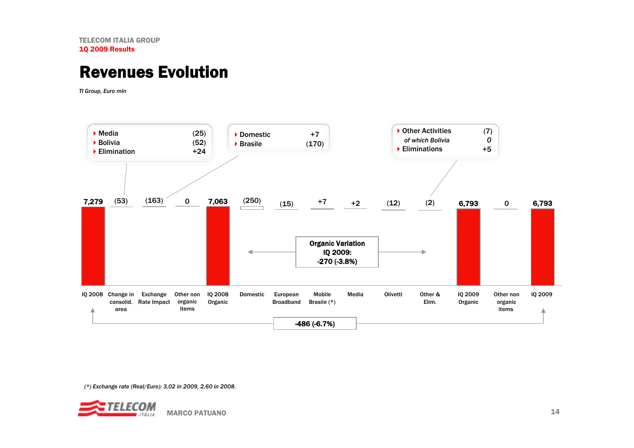#### Revenues Evolution

*TI Group, Euro mln*



*(\*) Exchange rate (Real/Euro): 3,02 in 2009, 2,60 in 2008.* 

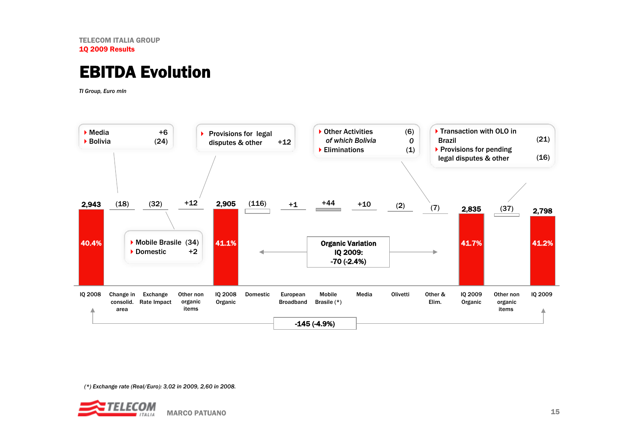#### EBITDA Evolution

*TI Group, Euro mln*



*(\*) Exchange rate (Real/Euro): 3,02 in 2009, 2,60 in 2008.* 

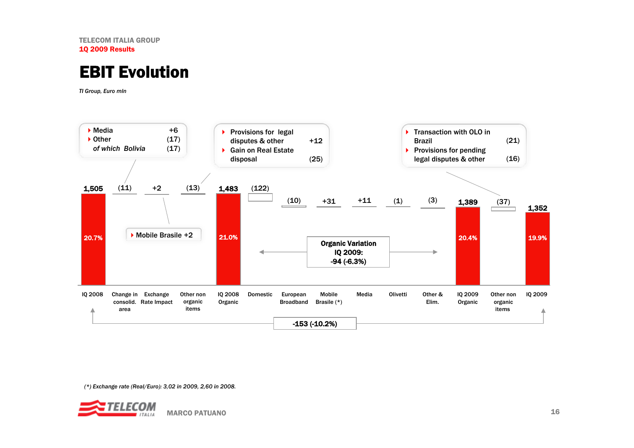#### EBIT Evolution

*TI Group, Euro mln*



*(\*) Exchange rate (Real/Euro): 3,02 in 2009, 2,60 in 2008.* 

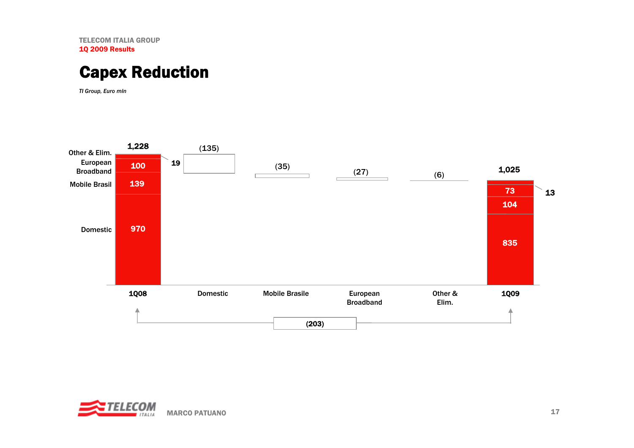#### Capex Reduction

*TI Group, Euro mln*



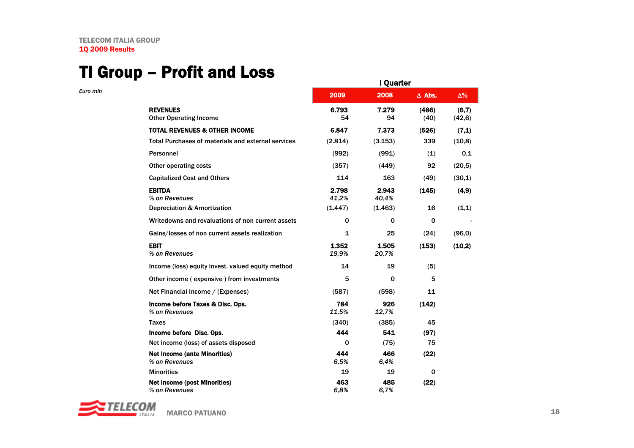*Euro mln*

#### TI Group – Profit and Loss

|                                                           |                | I Quarter      |               |                 |
|-----------------------------------------------------------|----------------|----------------|---------------|-----------------|
|                                                           | 2009           | 2008           | $\Delta$ Abs. | $\Delta\%$      |
| <b>REVENUES</b><br><b>Other Operating Income</b>          | 6.793<br>54    | 7.279<br>94    | (486)<br>(40) | (6,7)<br>(42,6) |
| <b>TOTAL REVENUES &amp; OTHER INCOME</b>                  | 6.847          | 7.373          | (526)         | (7,1)           |
| <b>Total Purchases of materials and external services</b> | (2.814)        | (3.153)        | 339           | (10,8)          |
| Personnel                                                 | (992)          | (991)          | (1)           | 0,1             |
| Other operating costs                                     | (357)          | (449)          | 92            | (20,5)          |
| <b>Capitalized Cost and Others</b>                        | 114            | 163            | (49)          | (30,1)          |
| <b>EBITDA</b><br>% on Revenues                            | 2.798<br>41,2% | 2.943<br>40.4% | (145)         | (4, 9)          |
| <b>Depreciation &amp; Amortization</b>                    | (1.447)        | (1.463)        | 16            | (1,1)           |
| Writedowns and revaluations of non current assets         | 0              | $\Omega$       | 0             |                 |
| Gains/losses of non current assets realization            | 1              | 25             | (24)          | (96.0)          |
| <b>EBIT</b><br>% on Revenues                              | 1.352<br>19.9% | 1.505<br>20,7% | (153)         | (10,2)          |
| Income (loss) equity invest. valued equity method         | 14             | 19             | (5)           |                 |
| Other income (expensive) from investments                 | 5              | $\Omega$       | 5             |                 |
| Net Financial Income / (Expenses)                         | (587)          | (598)          | 11            |                 |
| Income before Taxes & Disc. Ops.<br>% on Revenues         | 784<br>11,5%   | 926<br>12,7%   | (142)         |                 |
| <b>Taxes</b>                                              | (340)          | (385)          | 45            |                 |
| Income before Disc. Ops.                                  | 444            | 541            | (97)          |                 |
| Net income (loss) of assets disposed                      | $\Omega$       | (75)           | 75            |                 |
| <b>Net Income (ante Minorities)</b><br>% on Revenues      | 444<br>6,5%    | 466<br>6,4%    | (22)          |                 |
| <b>Minorities</b>                                         | 19             | 19             | $\mathbf 0$   |                 |
| <b>Net Income (post Minorities)</b><br>% on Revenues      | 463<br>6,8%    | 485<br>6.7%    | (22)          |                 |

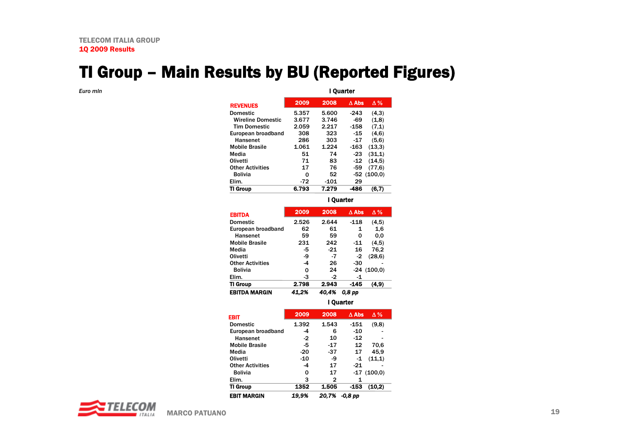# TI Group – Main Results by BU (Reported Figures)

*Euro mln*

I Quarter

| 2009  | 2008   | $\Delta$ Abs | Δ%           |
|-------|--------|--------------|--------------|
| 5.357 | 5.600  | -243         | (4,3)        |
| 3.677 | 3.746  | -69          | (1,8)        |
| 2.059 | 2.217  | $-158$       | (7,1)        |
| 308   | 323    | $-15$        | (4.6)        |
| 286   | 303    | $-17$        | (5,6)        |
| 1.061 | 1.224  | $-163$       | (13,3)       |
| 51    | 74     | $-23$        | (31,1)       |
| 71    | 83     | $-12$        | (14,5)       |
| 17    | 76     | -59          | (77,6)       |
| 0     | 52     |              | $-52(100.0)$ |
| $-72$ | $-101$ | 29           |              |
| 6.793 | 7.279  | -486         | (6,7)        |
|       |        |              |              |

I Quarter

| <b>EBITDA MARGIN</b>    | 41.2% | 40.4% | 0.8 <sub>pp</sub> |              |
|-------------------------|-------|-------|-------------------|--------------|
| TI Group                | 2.798 | 2.943 | -145              | (4, 9)       |
| Elim.                   | -3    | $-2$  | -1                |              |
| <b>Bolivia</b>          | 0     | 24    |                   | $-24(100.0)$ |
| <b>Other Activities</b> | -4    | 26    | -30               |              |
| Olivetti                | -9    | $-7$  | $-2$              | (28, 6)      |
| Media                   | -5    | $-21$ | 16                | 76,2         |
| <b>Mobile Brasile</b>   | 231   | 242   | $-11$             | (4,5)        |
| Hansenet                | 59    | 59    | 0                 | 0,0          |
| European broadband      | 62    | 61    | 1                 | 1,6          |
| <b>Domestic</b>         | 2.526 | 2.644 | $-118$            | (4,5)        |
| <b>EBITDA</b>           | 2009  | 2008  | $\Delta$ Abs      | $\Delta\%$   |
|                         |       |       |                   |              |

I Quarter

| EBIT                    | 2009  | 2008  | $\Delta$ Abs | $\Delta\%$   |
|-------------------------|-------|-------|--------------|--------------|
| <b>Domestic</b>         | 1.392 | 1.543 | $-151$       | (9,8)        |
| European broadband      | -4    | 6     | -10          |              |
| Hansenet                | $-2$  | 10    | $-12$        |              |
| <b>Mobile Brasile</b>   | -5    | -17   | 12           | 70,6         |
| Media                   | -20   | -37   | 17           | 45.9         |
| Olivetti                | -10   | -9    | -1           | (11,1)       |
| <b>Other Activities</b> | -4    | 17    | $-21$        |              |
| <b>Bolivia</b>          | 0     | 17    |              | $-17(100.0)$ |
| Elim.                   | 3     | 2     | 1            |              |
| TI Group                | 1352  | 1.505 | -153         | (10,2)       |
| <b>EBIT MARGIN</b>      | 19.9% | 20.7% | -0,8 pp      |              |